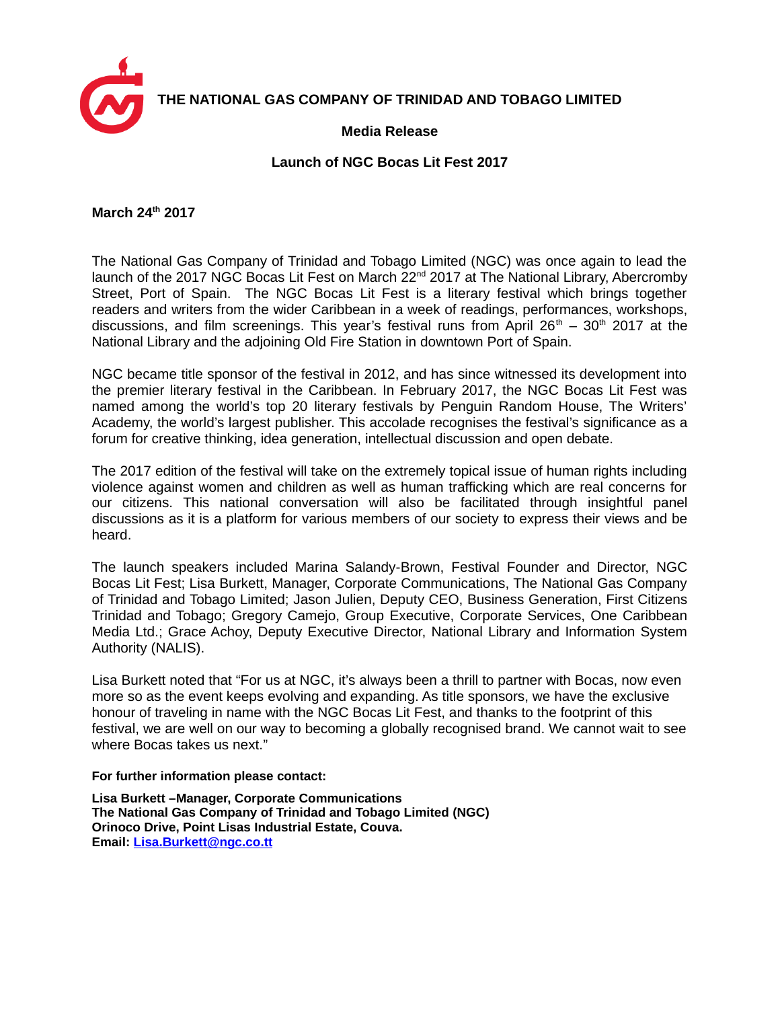

**THE NATIONAL GAS COMPANY OF TRINIDAD AND TOBAGO LIMITED**

## **Media Release**

## **Launch of NGC Bocas Lit Fest 2017**

**March 24th 2017**

The National Gas Company of Trinidad and Tobago Limited (NGC) was once again to lead the launch of the 2017 NGC Bocas Lit Fest on March  $22<sup>nd</sup>$  2017 at The National Library, Abercromby Street, Port of Spain. The NGC Bocas Lit Fest is a literary festival which brings together readers and writers from the wider Caribbean in a week of readings, performances, workshops, discussions, and film screenings. This year's festival runs from April  $26<sup>th</sup> - 30<sup>th</sup> 2017$  at the National Library and the adjoining Old Fire Station in downtown Port of Spain.

NGC became title sponsor of the festival in 2012, and has since witnessed its development into the premier literary festival in the Caribbean. In February 2017, the NGC Bocas Lit Fest was named among the world's top 20 literary festivals by Penguin Random House, The Writers' Academy, the world's largest publisher. This accolade recognises the festival's significance as a forum for creative thinking, idea generation, intellectual discussion and open debate.

The 2017 edition of the festival will take on the extremely topical issue of human rights including violence against women and children as well as human trafficking which are real concerns for our citizens. This national conversation will also be facilitated through insightful panel discussions as it is a platform for various members of our society to express their views and be heard.

The launch speakers included Marina Salandy-Brown, Festival Founder and Director, NGC Bocas Lit Fest; Lisa Burkett, Manager, Corporate Communications, The National Gas Company of Trinidad and Tobago Limited; Jason Julien, Deputy CEO, Business Generation, First Citizens Trinidad and Tobago; Gregory Camejo, Group Executive, Corporate Services, One Caribbean Media Ltd.; Grace Achoy, Deputy Executive Director, National Library and Information System Authority (NALIS).

Lisa Burkett noted that "For us at NGC, it's always been a thrill to partner with Bocas, now even more so as the event keeps evolving and expanding. As title sponsors, we have the exclusive honour of traveling in name with the NGC Bocas Lit Fest, and thanks to the footprint of this festival, we are well on our way to becoming a globally recognised brand. We cannot wait to see where Bocas takes us next."

**For further information please contact:**

**Lisa Burkett –Manager, Corporate Communications The National Gas Company of Trinidad and Tobago Limited (NGC) Orinoco Drive, Point Lisas Industrial Estate, Couva. Email: [Lisa.Burkett@ngc.co.tt](mailto:Lisa.Burkett@ngc.co.tt)**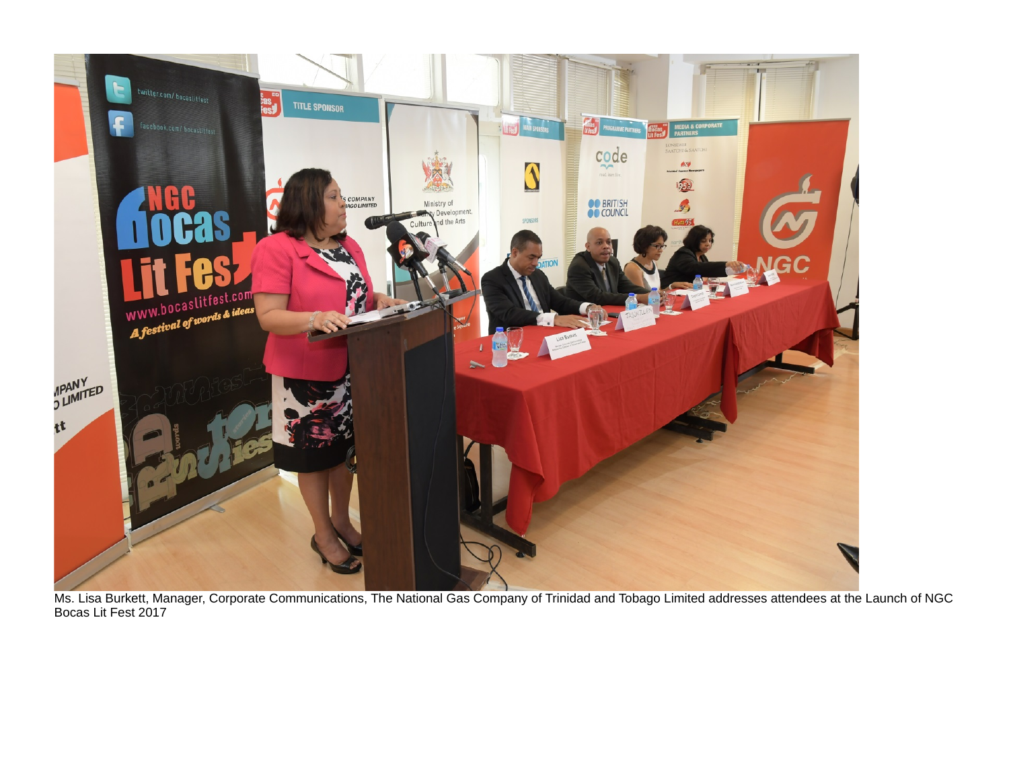

Ms. Lisa Burkett, Manager, Corporate Communications, The National Gas Company of Trinidad and Tobago Limited addresses attendees at the Launch of NGC Bocas Lit Fest 2017